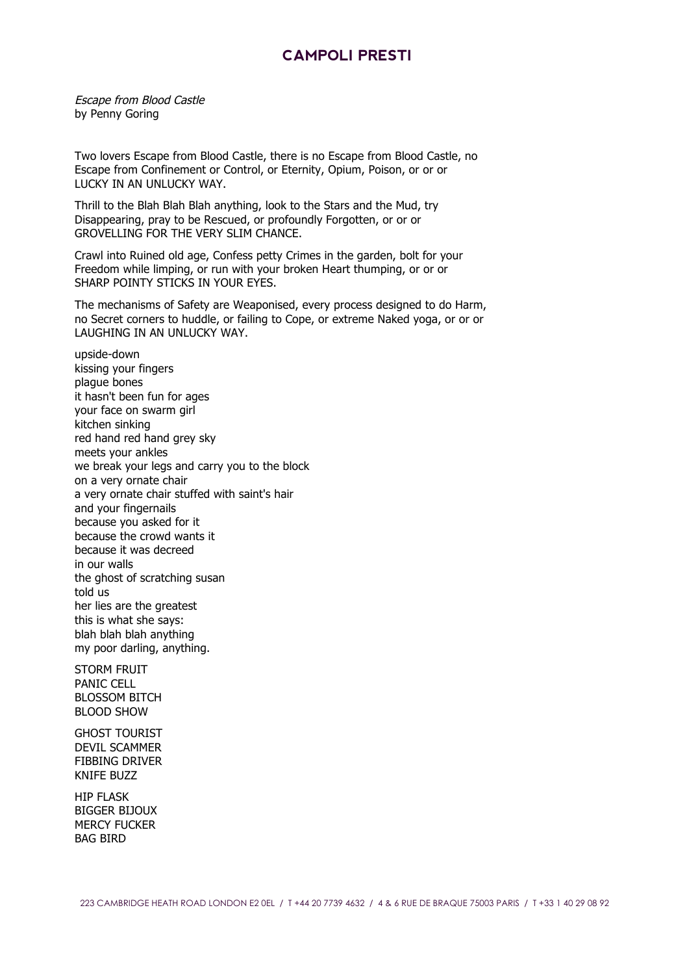## **CAMPOLI PRESTI**

Escape from Blood Castle by Penny Goring

Two lovers Escape from Blood Castle, there is no Escape from Blood Castle, no Escape from Confinement or Control, or Eternity, Opium, Poison, or or or LUCKY IN AN UNLUCKY WAY.

Thrill to the Blah Blah Blah anything, look to the Stars and the Mud, try Disappearing, pray to be Rescued, or profoundly Forgotten, or or or GROVELLING FOR THE VERY SLIM CHANCE.

Crawl into Ruined old age, Confess petty Crimes in the garden, bolt for your Freedom while limping, or run with your broken Heart thumping, or or or SHARP POINTY STICKS IN YOUR EYES.

The mechanisms of Safety are Weaponised, every process designed to do Harm, no Secret corners to huddle, or failing to Cope, or extreme Naked yoga, or or or LAUGHING IN AN UNLUCKY WAY.

upside-down kissing your fingers plague bones it hasn't been fun for ages your face on swarm girl kitchen sinking red hand red hand grey sky meets your ankles we break your legs and carry you to the block on a very ornate chair a very ornate chair stuffed with saint's hair and your fingernails because you asked for it because the crowd wants it because it was decreed in our walls the ghost of scratching susan told us her lies are the greatest this is what she says: blah blah blah anything my poor darling, anything.

STORM FRUIT PANIC CELL BLOSSOM BITCH BLOOD SHOW

GHOST TOURIST DEVIL SCAMMER FIBBING DRIVER KNIFE BUZZ

HIP FLASK BIGGER BIJOUX MERCY FUCKER BAG BIRD